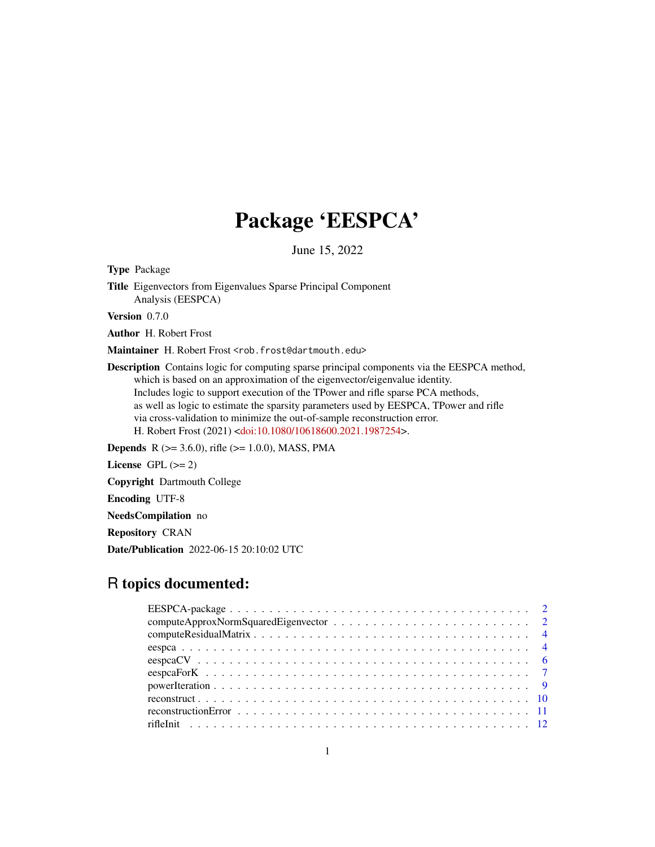## Package 'EESPCA'

June 15, 2022

<span id="page-0-0"></span>Type Package

Title Eigenvectors from Eigenvalues Sparse Principal Component Analysis (EESPCA)

Version 0.7.0

Author H. Robert Frost

Maintainer H. Robert Frost <rob.frost@dartmouth.edu>

Description Contains logic for computing sparse principal components via the EESPCA method, which is based on an approximation of the eigenvector/eigenvalue identity. Includes logic to support execution of the TPower and rifle sparse PCA methods, as well as logic to estimate the sparsity parameters used by EESPCA, TPower and rifle via cross-validation to minimize the out-of-sample reconstruction error. H. Robert Frost (2021) [<doi:10.1080/10618600.2021.1987254>](https://doi.org/10.1080/10618600.2021.1987254).

**Depends** R ( $>= 3.6.0$ ), rifle ( $>= 1.0.0$ ), MASS, PMA

License GPL  $(>= 2)$ 

Copyright Dartmouth College

Encoding UTF-8

NeedsCompilation no

Repository CRAN

Date/Publication 2022-06-15 20:10:02 UTC

## R topics documented: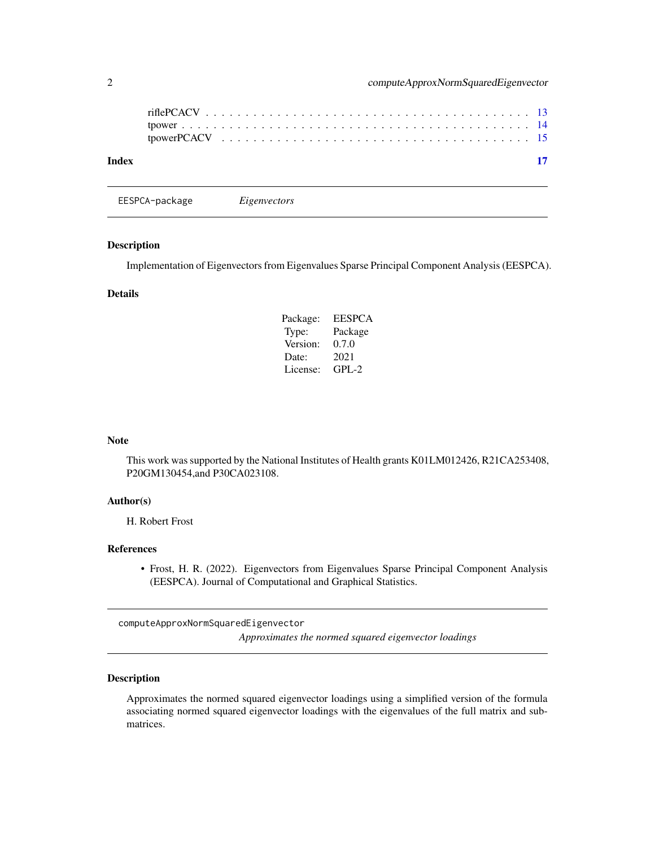<span id="page-1-0"></span>

| Index |  |  |  |  |  |  |  |  |  |  |  |  |  |  |  | 17 |
|-------|--|--|--|--|--|--|--|--|--|--|--|--|--|--|--|----|
|       |  |  |  |  |  |  |  |  |  |  |  |  |  |  |  |    |

EESPCA-package *Eigenvectors*

Implementation of Eigenvectors from Eigenvalues Sparse Principal Component Analysis (EESPCA).

## Details

| Package: | <b>EESPCA</b> |
|----------|---------------|
| Type:    | Package       |
| Version: | 0.7.0         |
| Date:    | 2021          |
| License: | GPL-2         |

## Note

This work was supported by the National Institutes of Health grants K01LM012426, R21CA253408, P20GM130454,and P30CA023108.

## Author(s)

H. Robert Frost

## References

• Frost, H. R. (2022). Eigenvectors from Eigenvalues Sparse Principal Component Analysis (EESPCA). Journal of Computational and Graphical Statistics.

<span id="page-1-1"></span>computeApproxNormSquaredEigenvector

*Approximates the normed squared eigenvector loadings*

## Description

Approximates the normed squared eigenvector loadings using a simplified version of the formula associating normed squared eigenvector loadings with the eigenvalues of the full matrix and submatrices.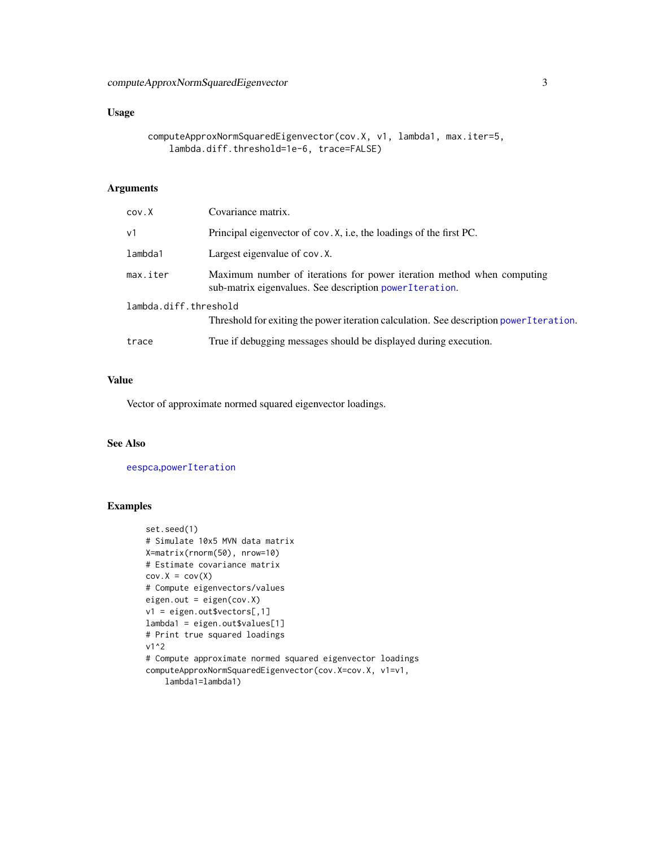## <span id="page-2-0"></span>Usage

```
computeApproxNormSquaredEigenvector(cov.X, v1, lambda1, max.iter=5,
   lambda.diff.threshold=1e-6, trace=FALSE)
```
## Arguments

| cov.X                 | Covariance matrix.                                                                                                                  |
|-----------------------|-------------------------------------------------------------------------------------------------------------------------------------|
| v1                    | Principal eigenvector of cov. X, i.e, the loadings of the first PC.                                                                 |
| lambda1               | Largest eigenvalue of cov. X.                                                                                                       |
| max.iter              | Maximum number of iterations for power iteration method when computing<br>sub-matrix eigenvalues. See description power I teration. |
| lambda.diff.threshold | Threshold for exiting the power iteration calculation. See description power I teration.                                            |
| trace                 | True if debugging messages should be displayed during execution.                                                                    |

#### Value

Vector of approximate normed squared eigenvector loadings.

#### See Also

[eespca](#page-3-1),[powerIteration](#page-8-1)

```
set.seed(1)
# Simulate 10x5 MVN data matrix
X=matrix(rnorm(50), nrow=10)
# Estimate covariance matrix
cov.X = cov(X)# Compute eigenvectors/values
eigen.out = eigen(cov.X)
v1 = eigen.out$vectors[,1]
lambda1 = eigen.out$values[1]
# Print true squared loadings
v1^2
# Compute approximate normed squared eigenvector loadings
computeApproxNormSquaredEigenvector(cov.X=cov.X, v1=v1,
    lambda1=lambda1)
```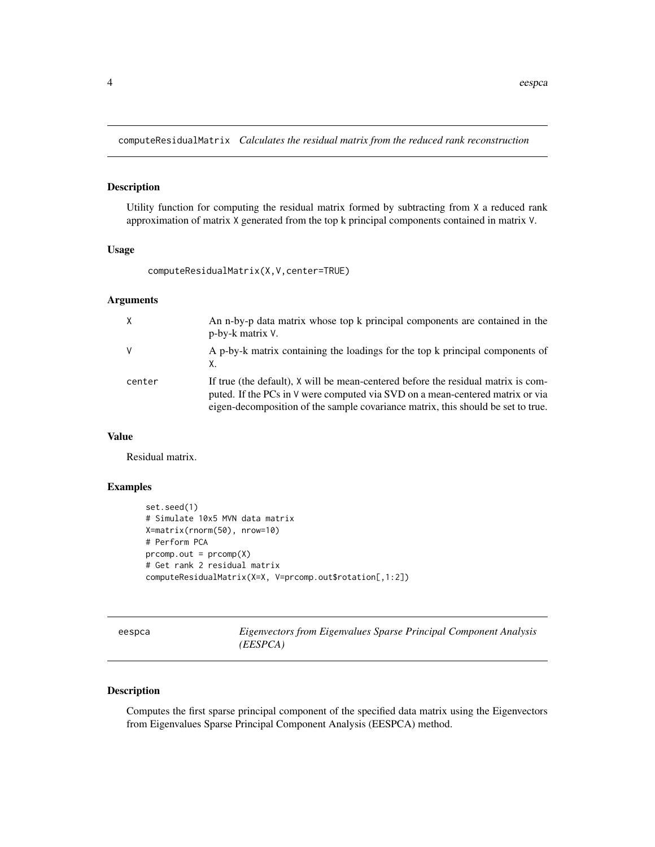<span id="page-3-0"></span>computeResidualMatrix *Calculates the residual matrix from the reduced rank reconstruction*

### Description

Utility function for computing the residual matrix formed by subtracting from X a reduced rank approximation of matrix X generated from the top k principal components contained in matrix V.

#### Usage

```
computeResidualMatrix(X,V,center=TRUE)
```
## Arguments

| $\times$ | An n-by-p data matrix whose top k principal components are contained in the<br>p-by-k matrix V.                                                                                                                                                        |
|----------|--------------------------------------------------------------------------------------------------------------------------------------------------------------------------------------------------------------------------------------------------------|
| V        | A p-by-k matrix containing the loadings for the top k principal components of                                                                                                                                                                          |
| center   | If true (the default), X will be mean-centered before the residual matrix is com-<br>puted. If the PCs in V were computed via SVD on a mean-centered matrix or via<br>eigen-decomposition of the sample covariance matrix, this should be set to true. |

## Value

Residual matrix.

## Examples

```
set.seed(1)
# Simulate 10x5 MVN data matrix
X=matrix(rnorm(50), nrow=10)
# Perform PCA
proomp.out = prcomp(X)# Get rank 2 residual matrix
computeResidualMatrix(X=X, V=prcomp.out$rotation[,1:2])
```
<span id="page-3-1"></span>

| sn<br>c<br>10 |
|---------------|
|---------------|

**Eigenvectors from Eigenvalues Sparse Principal Component Analysis** *(EESPCA)*

#### Description

Computes the first sparse principal component of the specified data matrix using the Eigenvectors from Eigenvalues Sparse Principal Component Analysis (EESPCA) method.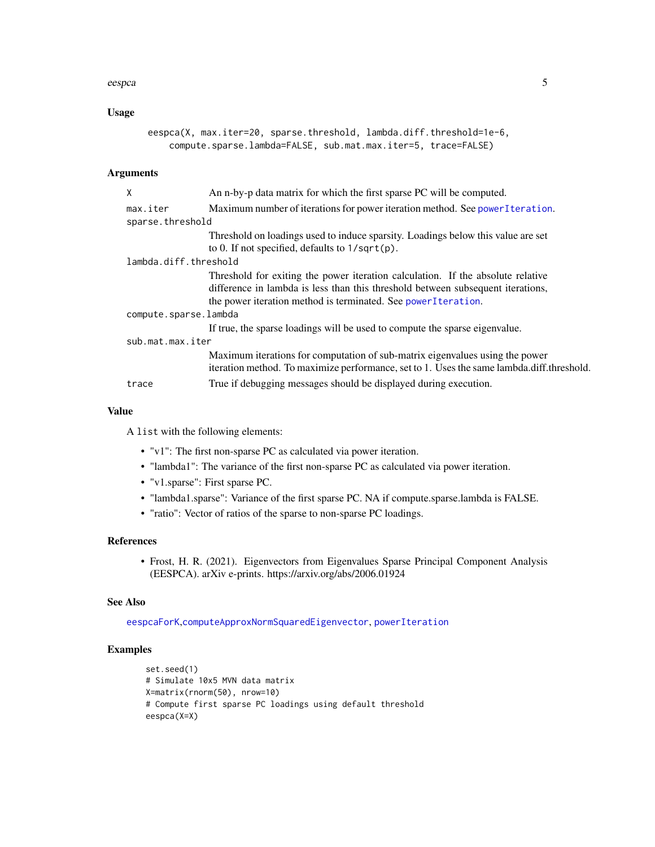#### <span id="page-4-0"></span>eespca 5

## Usage

```
eespca(X, max.iter=20, sparse.threshold, lambda.diff.threshold=1e-6,
   compute.sparse.lambda=FALSE, sub.mat.max.iter=5, trace=FALSE)
```
## Arguments

| X                     | An n-by-p data matrix for which the first sparse PC will be computed.                                                                                                     |
|-----------------------|---------------------------------------------------------------------------------------------------------------------------------------------------------------------------|
| max.iter              | Maximum number of iterations for power iteration method. See power Iteration.                                                                                             |
| sparse.threshold      |                                                                                                                                                                           |
|                       | Threshold on loadings used to induce sparsity. Loadings below this value are set                                                                                          |
|                       | to 0. If not specified, defaults to $1/\sqrt{p}$ .                                                                                                                        |
| lambda.diff.threshold |                                                                                                                                                                           |
|                       | Threshold for exiting the power iteration calculation. If the absolute relative                                                                                           |
|                       | difference in lambda is less than this threshold between subsequent iterations,                                                                                           |
|                       | the power iteration method is terminated. See power I teration.                                                                                                           |
| compute.sparse.lambda |                                                                                                                                                                           |
|                       | If true, the sparse loadings will be used to compute the sparse eigenvalue.                                                                                               |
| sub.mat.max.iter      |                                                                                                                                                                           |
|                       | Maximum iterations for computation of sub-matrix eigenvalues using the power<br>iteration method. To maximize performance, set to 1. Uses the same lambda.diff.threshold. |
| trace                 | True if debugging messages should be displayed during execution.                                                                                                          |

## Value

A list with the following elements:

- "v1": The first non-sparse PC as calculated via power iteration.
- "lambda1": The variance of the first non-sparse PC as calculated via power iteration.
- "v1.sparse": First sparse PC.
- "lambda1.sparse": Variance of the first sparse PC. NA if compute.sparse.lambda is FALSE.
- "ratio": Vector of ratios of the sparse to non-sparse PC loadings.

## References

• Frost, H. R. (2021). Eigenvectors from Eigenvalues Sparse Principal Component Analysis (EESPCA). arXiv e-prints. https://arxiv.org/abs/2006.01924

#### See Also

[eespcaForK](#page-6-1),[computeApproxNormSquaredEigenvector](#page-1-1), [powerIteration](#page-8-1)

```
set.seed(1)
# Simulate 10x5 MVN data matrix
X=matrix(rnorm(50), nrow=10)
# Compute first sparse PC loadings using default threshold
eespca(X=X)
```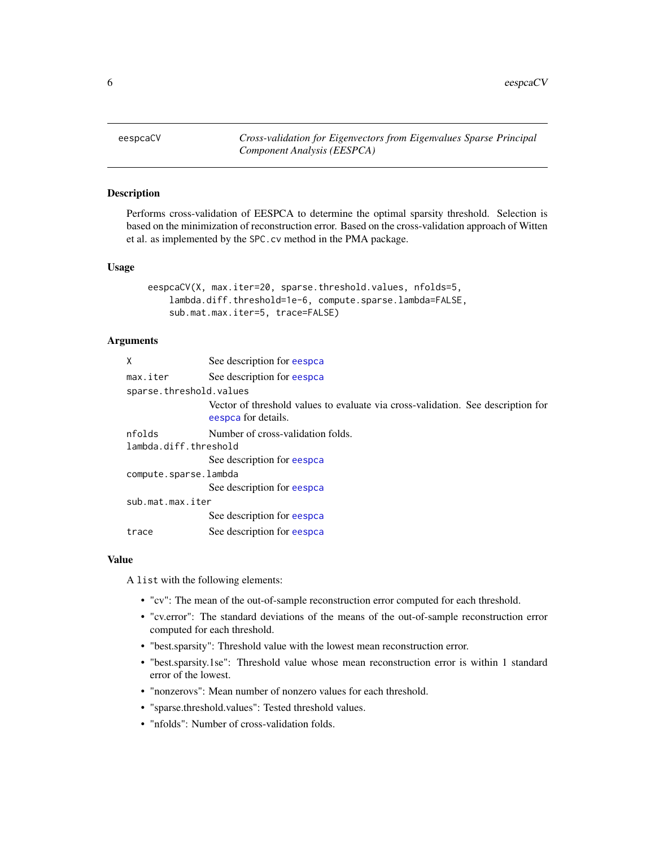<span id="page-5-0"></span>eespcaCV *Cross-validation for Eigenvectors from Eigenvalues Sparse Principal Component Analysis (EESPCA)*

## Description

Performs cross-validation of EESPCA to determine the optimal sparsity threshold. Selection is based on the minimization of reconstruction error. Based on the cross-validation approach of Witten et al. as implemented by the SPC.cv method in the PMA package.

#### Usage

```
eespcaCV(X, max.iter=20, sparse.threshold.values, nfolds=5,
   lambda.diff.threshold=1e-6, compute.sparse.lambda=FALSE,
   sub.mat.max.iter=5, trace=FALSE)
```
## Arguments

| See description for eespca                                                                              |  |  |  |  |  |  |
|---------------------------------------------------------------------------------------------------------|--|--|--|--|--|--|
| See description for eespca                                                                              |  |  |  |  |  |  |
| sparse.threshold.values                                                                                 |  |  |  |  |  |  |
| Vector of threshold values to evaluate via cross-validation. See description for<br>eespca for details. |  |  |  |  |  |  |
| Number of cross-validation folds.                                                                       |  |  |  |  |  |  |
| lambda.diff.threshold                                                                                   |  |  |  |  |  |  |
| See description for eespca                                                                              |  |  |  |  |  |  |
| compute.sparse.lambda                                                                                   |  |  |  |  |  |  |
| See description for eespca                                                                              |  |  |  |  |  |  |
| sub.mat.max.iter                                                                                        |  |  |  |  |  |  |
| See description for eespca                                                                              |  |  |  |  |  |  |
| See description for eespca                                                                              |  |  |  |  |  |  |
|                                                                                                         |  |  |  |  |  |  |

#### Value

A list with the following elements:

- "cv": The mean of the out-of-sample reconstruction error computed for each threshold.
- "cv.error": The standard deviations of the means of the out-of-sample reconstruction error computed for each threshold.
- "best.sparsity": Threshold value with the lowest mean reconstruction error.
- "best.sparsity.1se": Threshold value whose mean reconstruction error is within 1 standard error of the lowest.
- "nonzerovs": Mean number of nonzero values for each threshold.
- "sparse.threshold.values": Tested threshold values.
- "nfolds": Number of cross-validation folds.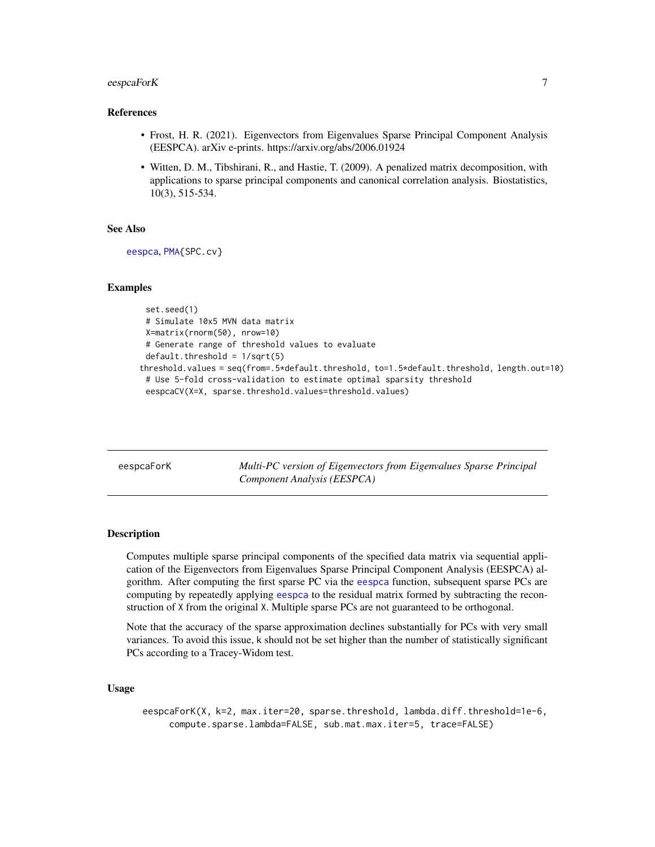## <span id="page-6-0"></span>eespcaForK 7

#### References

- Frost, H. R. (2021). Eigenvectors from Eigenvalues Sparse Principal Component Analysis (EESPCA). arXiv e-prints. https://arxiv.org/abs/2006.01924
- Witten, D. M., Tibshirani, R., and Hastie, T. (2009). A penalized matrix decomposition, with applications to sparse principal components and canonical correlation analysis. Biostatistics, 10(3), 515-534.

## See Also

[eespca](#page-3-1), [PMA{](#page-0-0)SPC.cv}

#### Examples

```
set.seed(1)
 # Simulate 10x5 MVN data matrix
 X=matrix(rnorm(50), nrow=10)
 # Generate range of threshold values to evaluate
 default.threshold = 1/sqrt(5)threshold.values = seq(from=.5*default.threshold, to=1.5*default.threshold, length.out=10)
 # Use 5-fold cross-validation to estimate optimal sparsity threshold
 eespcaCV(X=X, sparse.threshold.values=threshold.values)
```
<span id="page-6-1"></span>eespcaForK *Multi-PC version of Eigenvectors from Eigenvalues Sparse Principal Component Analysis (EESPCA)*

#### Description

Computes multiple sparse principal components of the specified data matrix via sequential application of the Eigenvectors from Eigenvalues Sparse Principal Component Analysis (EESPCA) algorithm. After computing the first sparse PC via the [eespca](#page-3-1) function, subsequent sparse PCs are computing by repeatedly applying [eespca](#page-3-1) to the residual matrix formed by subtracting the reconstruction of X from the original X. Multiple sparse PCs are not guaranteed to be orthogonal.

Note that the accuracy of the sparse approximation declines substantially for PCs with very small variances. To avoid this issue, k should not be set higher than the number of statistically significant PCs according to a Tracey-Widom test.

#### Usage

eespcaForK(X, k=2, max.iter=20, sparse.threshold, lambda.diff.threshold=1e-6, compute.sparse.lambda=FALSE, sub.mat.max.iter=5, trace=FALSE)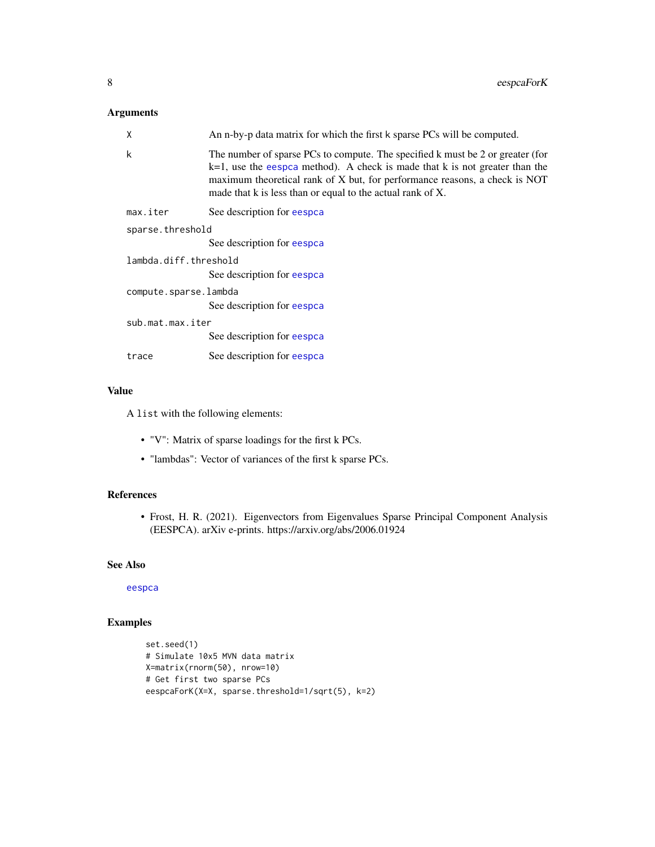## Arguments

| X                     | An n-by-p data matrix for which the first k sparse PCs will be computed.                                                                                                                                                                                                                                     |  |  |  |  |
|-----------------------|--------------------------------------------------------------------------------------------------------------------------------------------------------------------------------------------------------------------------------------------------------------------------------------------------------------|--|--|--|--|
| k                     | The number of sparse PCs to compute. The specified k must be 2 or greater (for<br>$k=1$ , use the eespca method). A check is made that k is not greater than the<br>maximum theoretical rank of X but, for performance reasons, a check is NOT<br>made that k is less than or equal to the actual rank of X. |  |  |  |  |
| max.iter              | See description for eespca                                                                                                                                                                                                                                                                                   |  |  |  |  |
| sparse.threshold      |                                                                                                                                                                                                                                                                                                              |  |  |  |  |
|                       | See description for eespca                                                                                                                                                                                                                                                                                   |  |  |  |  |
| lambda.diff.threshold |                                                                                                                                                                                                                                                                                                              |  |  |  |  |
|                       | See description for eespca                                                                                                                                                                                                                                                                                   |  |  |  |  |
| compute.sparse.lambda |                                                                                                                                                                                                                                                                                                              |  |  |  |  |
|                       | See description for eespca                                                                                                                                                                                                                                                                                   |  |  |  |  |
| sub.mat.max.iter      |                                                                                                                                                                                                                                                                                                              |  |  |  |  |
|                       | See description for eespca                                                                                                                                                                                                                                                                                   |  |  |  |  |
| trace                 | See description for eespca                                                                                                                                                                                                                                                                                   |  |  |  |  |

## Value

A list with the following elements:

- "V": Matrix of sparse loadings for the first k PCs.
- "lambdas": Vector of variances of the first k sparse PCs.

## References

• Frost, H. R. (2021). Eigenvectors from Eigenvalues Sparse Principal Component Analysis (EESPCA). arXiv e-prints. https://arxiv.org/abs/2006.01924

## See Also

[eespca](#page-3-1)

```
set.seed(1)
# Simulate 10x5 MVN data matrix
X=matrix(rnorm(50), nrow=10)
# Get first two sparse PCs
eespcaForK(X=X, sparse.threshold=1/sqrt(5), k=2)
```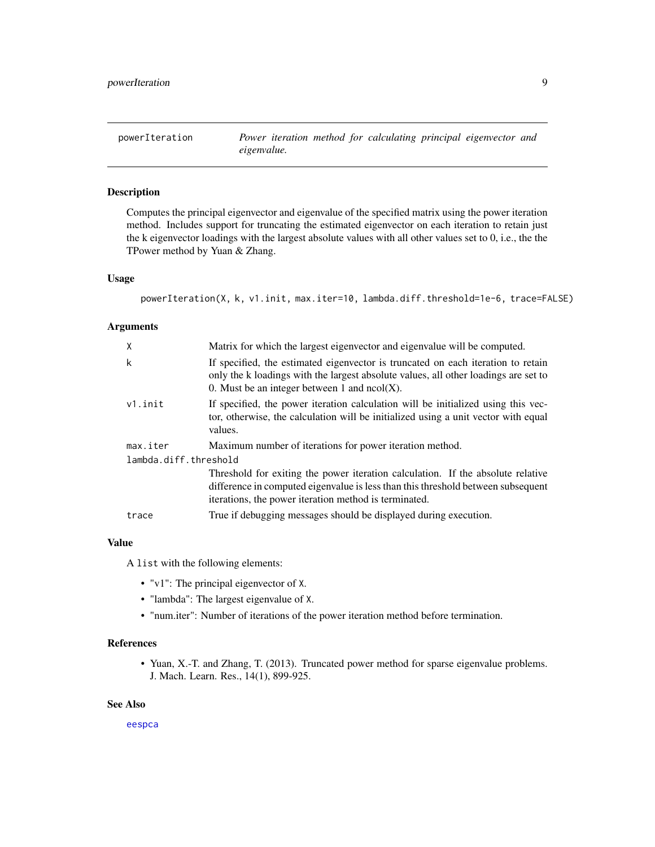<span id="page-8-1"></span><span id="page-8-0"></span>

Computes the principal eigenvector and eigenvalue of the specified matrix using the power iteration method. Includes support for truncating the estimated eigenvector on each iteration to retain just the k eigenvector loadings with the largest absolute values with all other values set to 0, i.e., the the TPower method by Yuan & Zhang.

#### Usage

powerIteration(X, k, v1.init, max.iter=10, lambda.diff.threshold=1e-6, trace=FALSE)

#### **Arguments**

| X                     | Matrix for which the largest eigenvector and eigenvalue will be computed.                                                                                                                                                    |
|-----------------------|------------------------------------------------------------------------------------------------------------------------------------------------------------------------------------------------------------------------------|
| k                     | If specified, the estimated eigenvector is truncated on each iteration to retain<br>only the k loadings with the largest absolute values, all other loadings are set to<br>0. Must be an integer between 1 and $ncol(X)$ .   |
| $v1.$ init            | If specified, the power iteration calculation will be initialized using this vec-<br>tor, otherwise, the calculation will be initialized using a unit vector with equal<br>values.                                           |
| max.iter              | Maximum number of iterations for power iteration method.                                                                                                                                                                     |
| lambda.diff.threshold |                                                                                                                                                                                                                              |
|                       | Threshold for exiting the power iteration calculation. If the absolute relative<br>difference in computed eigenvalue is less than this threshold between subsequent<br>iterations, the power iteration method is terminated. |
| trace                 | True if debugging messages should be displayed during execution.                                                                                                                                                             |

#### Value

A list with the following elements:

- "v1": The principal eigenvector of X.
- "lambda": The largest eigenvalue of X.
- "num.iter": Number of iterations of the power iteration method before termination.

#### References

• Yuan, X.-T. and Zhang, T. (2013). Truncated power method for sparse eigenvalue problems. J. Mach. Learn. Res., 14(1), 899-925.

## See Also

[eespca](#page-3-1)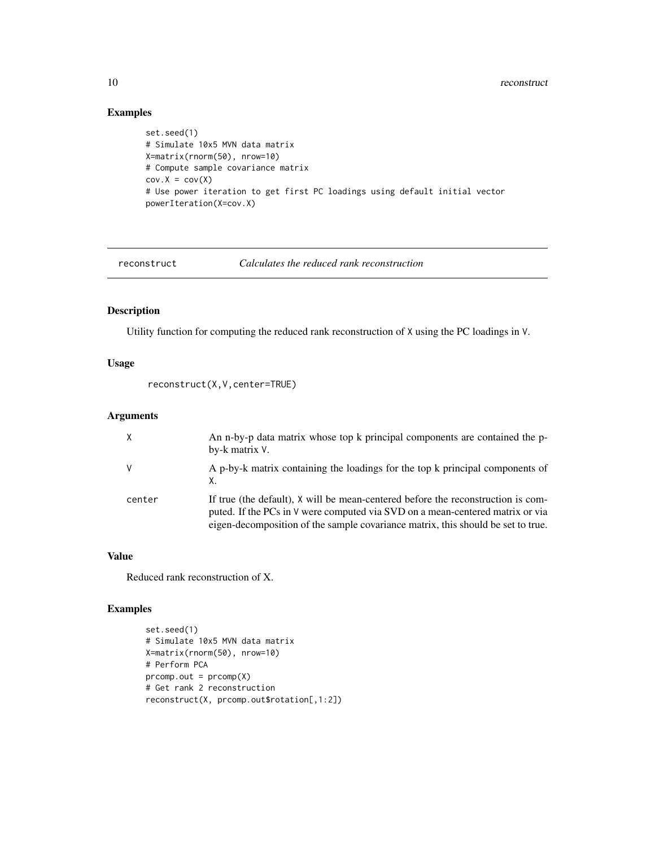## Examples

```
set.seed(1)
# Simulate 10x5 MVN data matrix
X=matrix(rnorm(50), nrow=10)
# Compute sample covariance matrix
cov.X = cov(X)# Use power iteration to get first PC loadings using default initial vector
powerIteration(X=cov.X)
```
reconstruct *Calculates the reduced rank reconstruction*

## Description

Utility function for computing the reduced rank reconstruction of X using the PC loadings in V.

## Usage

```
reconstruct(X,V,center=TRUE)
```
## Arguments

|        | An n-by-p data matrix whose top k principal components are contained the p-<br>by-k matrix V.                                                                                                                                                         |
|--------|-------------------------------------------------------------------------------------------------------------------------------------------------------------------------------------------------------------------------------------------------------|
|        | A p-by-k matrix containing the loadings for the top k principal components of<br>Х.                                                                                                                                                                   |
| center | If true (the default), X will be mean-centered before the reconstruction is com-<br>puted. If the PCs in V were computed via SVD on a mean-centered matrix or via<br>eigen-decomposition of the sample covariance matrix, this should be set to true. |

#### Value

Reduced rank reconstruction of X.

```
set.seed(1)
# Simulate 10x5 MVN data matrix
X=matrix(rnorm(50), nrow=10)
# Perform PCA
prcomp.out = prcomp(X)
# Get rank 2 reconstruction
reconstruct(X, prcomp.out$rotation[,1:2])
```
<span id="page-9-0"></span>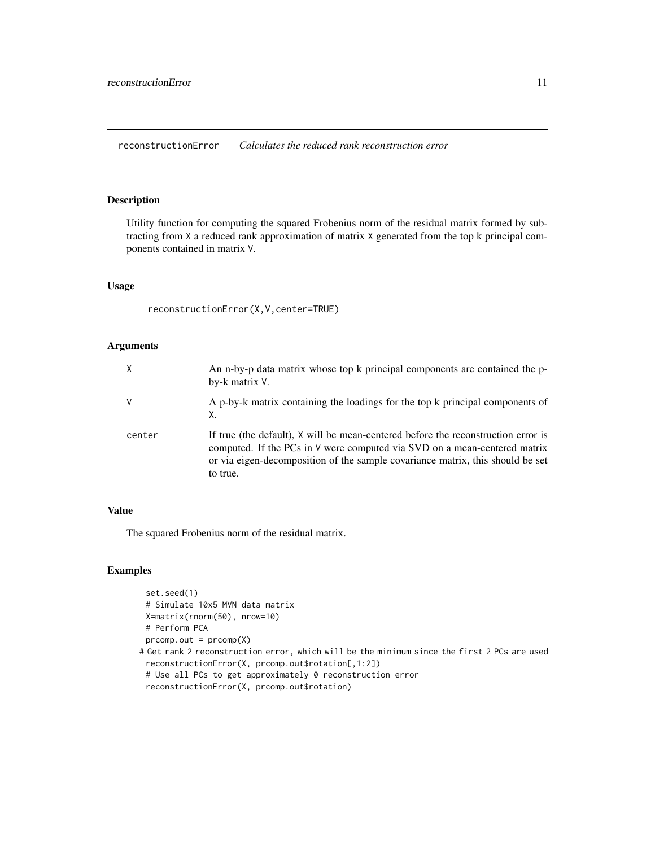<span id="page-10-0"></span>reconstructionError *Calculates the reduced rank reconstruction error*

## Description

Utility function for computing the squared Frobenius norm of the residual matrix formed by subtracting from X a reduced rank approximation of matrix X generated from the top k principal components contained in matrix V.

#### Usage

reconstructionError(X,V,center=TRUE)

## Arguments

| X      | An n-by-p data matrix whose top k principal components are contained the p-<br>by-k matrix V.                                                                                                                                                                |
|--------|--------------------------------------------------------------------------------------------------------------------------------------------------------------------------------------------------------------------------------------------------------------|
| V      | A p-by-k matrix containing the loadings for the top k principal components of<br>Х.                                                                                                                                                                          |
| center | If true (the default), X will be mean-centered before the reconstruction error is<br>computed. If the PCs in V were computed via SVD on a mean-centered matrix<br>or via eigen-decomposition of the sample covariance matrix, this should be set<br>to true. |

#### Value

The squared Frobenius norm of the residual matrix.

```
set.seed(1)
 # Simulate 10x5 MVN data matrix
 X=matrix(rnorm(50), nrow=10)
 # Perform PCA
 proomp.out = prcomp(X)# Get rank 2 reconstruction error, which will be the minimum since the first 2 PCs are used
 reconstructionError(X, prcomp.out$rotation[,1:2])
 # Use all PCs to get approximately 0 reconstruction error
 reconstructionError(X, prcomp.out$rotation)
```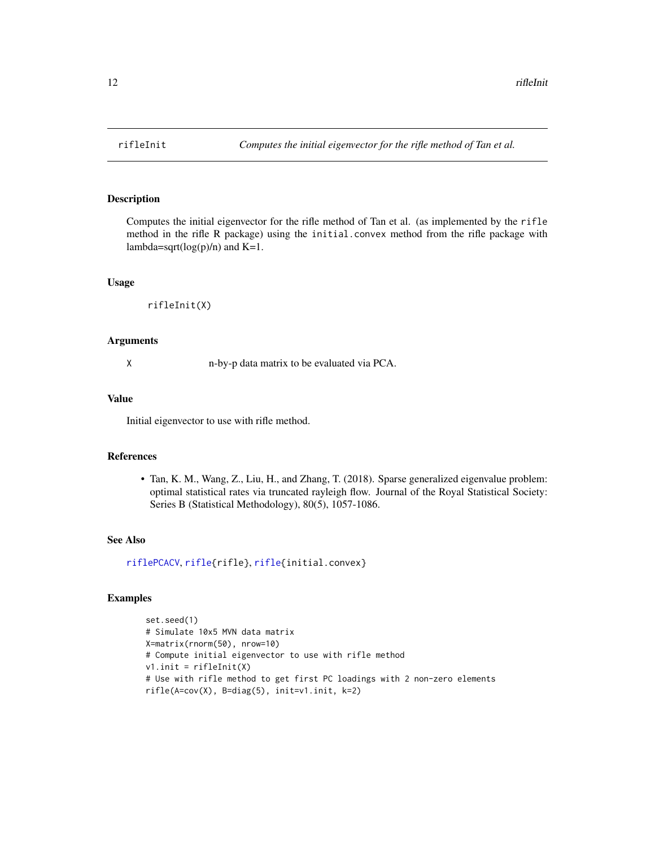Computes the initial eigenvector for the rifle method of Tan et al. (as implemented by the rifle method in the rifle R package) using the initial.convex method from the rifle package with lambda=sqrt $(log(p)/n)$  and K=1.

## Usage

```
rifleInit(X)
```
#### Arguments

X n-by-p data matrix to be evaluated via PCA.

#### Value

Initial eigenvector to use with rifle method.

#### References

• Tan, K. M., Wang, Z., Liu, H., and Zhang, T. (2018). Sparse generalized eigenvalue problem: optimal statistical rates via truncated rayleigh flow. Journal of the Royal Statistical Society: Series B (Statistical Methodology), 80(5), 1057-1086.

## See Also

[riflePCACV](#page-12-1), [rifle{](#page-0-0)rifle}, [rifle{](#page-0-0)initial.convex}

```
set.seed(1)
# Simulate 10x5 MVN data matrix
X=matrix(rnorm(50), nrow=10)
# Compute initial eigenvector to use with rifle method
v1.init = rifleInit(X)
# Use with rifle method to get first PC loadings with 2 non-zero elements
rifle(A=cov(X), B=diag(5), init=v1.init, k=2)
```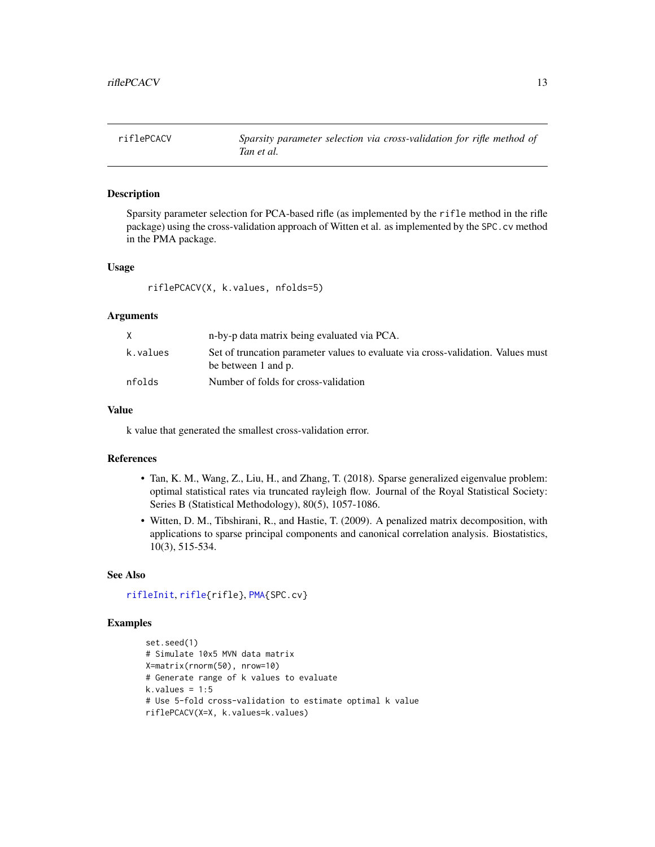<span id="page-12-1"></span><span id="page-12-0"></span>

Sparsity parameter selection for PCA-based rifle (as implemented by the rifle method in the rifle package) using the cross-validation approach of Witten et al. as implemented by the SPC.cv method in the PMA package.

#### Usage

riflePCACV(X, k.values, nfolds=5)

#### Arguments

|          | n-by-p data matrix being evaluated via PCA.                                                             |
|----------|---------------------------------------------------------------------------------------------------------|
| k.values | Set of truncation parameter values to evaluate via cross-validation. Values must<br>be between 1 and p. |
| nfolds   | Number of folds for cross-validation                                                                    |

#### Value

k value that generated the smallest cross-validation error.

## References

- Tan, K. M., Wang, Z., Liu, H., and Zhang, T. (2018). Sparse generalized eigenvalue problem: optimal statistical rates via truncated rayleigh flow. Journal of the Royal Statistical Society: Series B (Statistical Methodology), 80(5), 1057-1086.
- Witten, D. M., Tibshirani, R., and Hastie, T. (2009). A penalized matrix decomposition, with applications to sparse principal components and canonical correlation analysis. Biostatistics, 10(3), 515-534.

## See Also

[rifleInit](#page-11-1), [rifle{](#page-0-0)rifle}, [PMA{](#page-0-0)SPC.cv}

```
set.seed(1)
# Simulate 10x5 MVN data matrix
X=matrix(rnorm(50), nrow=10)
# Generate range of k values to evaluate
k.values = 1:5# Use 5-fold cross-validation to estimate optimal k value
riflePCACV(X=X, k.values=k.values)
```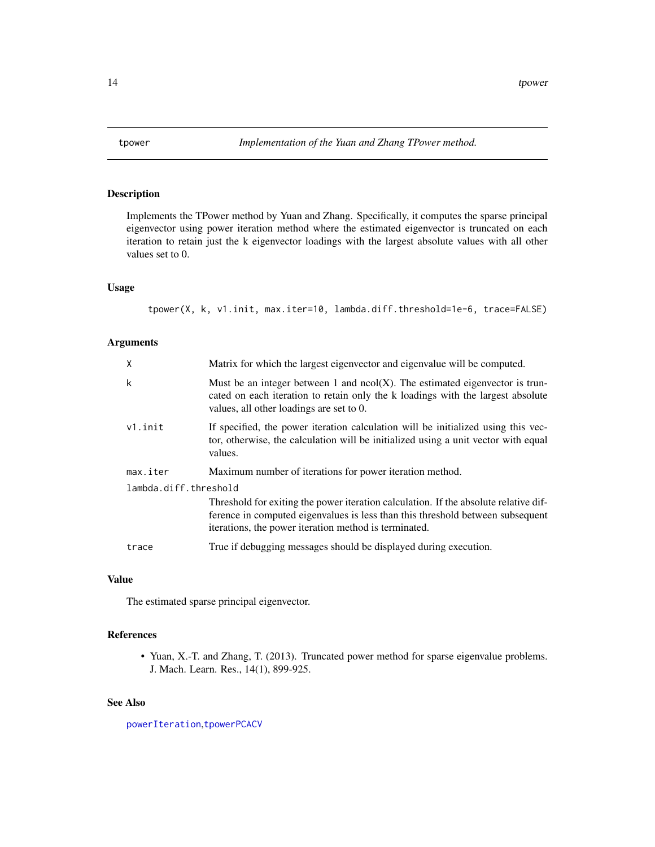<span id="page-13-1"></span><span id="page-13-0"></span>

Implements the TPower method by Yuan and Zhang. Specifically, it computes the sparse principal eigenvector using power iteration method where the estimated eigenvector is truncated on each iteration to retain just the k eigenvector loadings with the largest absolute values with all other values set to 0.

## Usage

tpower(X, k, v1.init, max.iter=10, lambda.diff.threshold=1e-6, trace=FALSE)

## Arguments

| X                     | Matrix for which the largest eigenvector and eigenvalue will be computed.                                                                                                                                                       |  |
|-----------------------|---------------------------------------------------------------------------------------------------------------------------------------------------------------------------------------------------------------------------------|--|
| k                     | Must be an integer between 1 and $ncol(X)$ . The estimated eigenvector is trun-<br>cated on each iteration to retain only the k loadings with the largest absolute<br>values, all other loadings are set to 0.                  |  |
| $v1.$ init            | If specified, the power iteration calculation will be initialized using this vec-<br>tor, otherwise, the calculation will be initialized using a unit vector with equal<br>values.                                              |  |
| max.iter              | Maximum number of iterations for power iteration method.                                                                                                                                                                        |  |
| lambda.diff.threshold |                                                                                                                                                                                                                                 |  |
|                       | Threshold for exiting the power iteration calculation. If the absolute relative dif-<br>ference in computed eigenvalues is less than this threshold between subsequent<br>iterations, the power iteration method is terminated. |  |
| trace                 | True if debugging messages should be displayed during execution.                                                                                                                                                                |  |

## Value

The estimated sparse principal eigenvector.

## References

• Yuan, X.-T. and Zhang, T. (2013). Truncated power method for sparse eigenvalue problems. J. Mach. Learn. Res., 14(1), 899-925.

## See Also

[powerIteration](#page-8-1),[tpowerPCACV](#page-14-1)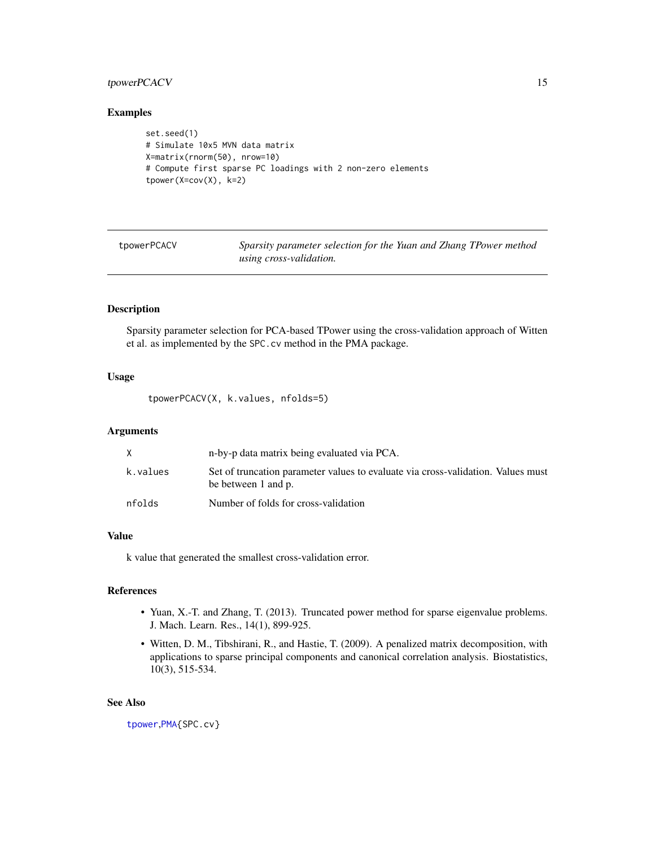## <span id="page-14-0"></span>tpowerPCACV 15

#### Examples

```
set.seed(1)
# Simulate 10x5 MVN data matrix
X=matrix(rnorm(50), nrow=10)
# Compute first sparse PC loadings with 2 non-zero elements
tpower(X=cov(X), k=2)
```
<span id="page-14-1"></span>

Sparsity parameter selection for the Yuan and Zhang TPower method *using cross-validation.*

## Description

Sparsity parameter selection for PCA-based TPower using the cross-validation approach of Witten et al. as implemented by the SPC.cv method in the PMA package.

## Usage

tpowerPCACV(X, k.values, nfolds=5)

#### Arguments

|          | n-by-p data matrix being evaluated via PCA.                                                             |
|----------|---------------------------------------------------------------------------------------------------------|
| k.values | Set of truncation parameter values to evaluate via cross-validation. Values must<br>be between 1 and p. |
| nfolds   | Number of folds for cross-validation                                                                    |

#### Value

k value that generated the smallest cross-validation error.

## References

- Yuan, X.-T. and Zhang, T. (2013). Truncated power method for sparse eigenvalue problems. J. Mach. Learn. Res., 14(1), 899-925.
- Witten, D. M., Tibshirani, R., and Hastie, T. (2009). A penalized matrix decomposition, with applications to sparse principal components and canonical correlation analysis. Biostatistics, 10(3), 515-534.

#### See Also

[tpower](#page-13-1),[PMA{](#page-0-0)SPC.cv}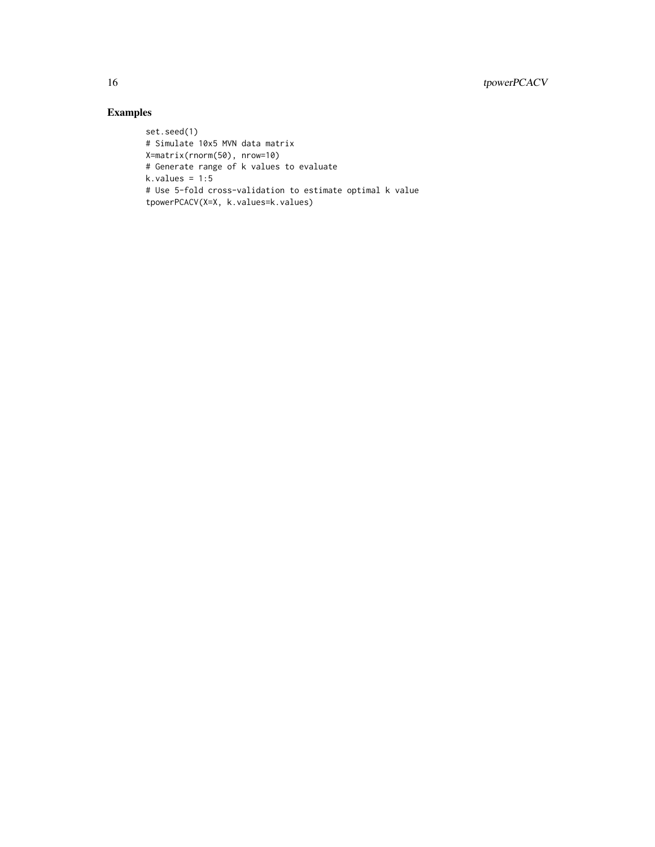```
set.seed(1)
# Simulate 10x5 MVN data matrix
X=matrix(rnorm(50), nrow=10)
# Generate range of k values to evaluate
k.values = 1:5# Use 5-fold cross-validation to estimate optimal k value
tpowerPCACV(X=X, k.values=k.values)
```